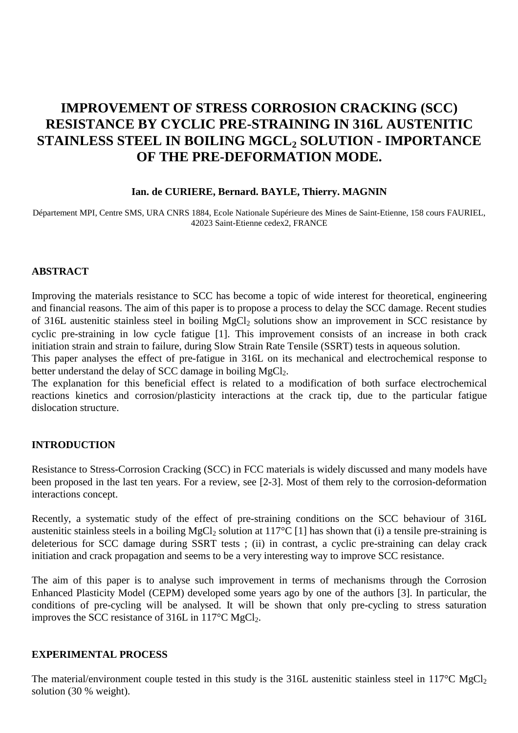# **IMPROVEMENT OF STRESS CORROSION CRACKING (SCC) RESISTANCE BY CYCLIC PRE-STRAINING IN 316L AUSTENITIC** STAINLESS STEEL IN BOILING MGCL<sub>2</sub> SOLUTION - IMPORTANCE **OF THE PRE-DEFORMATION MODE.**

#### **Ian. de CURIERE, Bernard. BAYLE, Thierry. MAGNIN**

Département MPI, Centre SMS, URA CNRS 1884, Ecole Nationale Supérieure des Mines de Saint-Etienne, 158 cours FAURIEL, 42023 Saint-Etienne cedex2, FRANCE

#### **ABSTRACT**

Improving the materials resistance to SCC has become a topic of wide interest for theoretical, engineering and financial reasons. The aim of this paper is to propose a process to delay the SCC damage. Recent studies of 316L austenitic stainless steel in boiling MgCl<sub>2</sub> solutions show an improvement in SCC resistance by cyclic pre-straining in low cycle fatigue [1]. This improvement consists of an increase in both crack initiation strain and strain to failure, during Slow Strain Rate Tensile (SSRT) tests in aqueous solution.

This paper analyses the effect of pre-fatigue in 316L on its mechanical and electrochemical response to better understand the delay of SCC damage in boiling  $MgCl<sub>2</sub>$ .

The explanation for this beneficial effect is related to a modification of both surface electrochemical reactions kinetics and corrosion/plasticity interactions at the crack tip, due to the particular fatigue dislocation structure.

#### **INTRODUCTION**

Resistance to Stress-Corrosion Cracking (SCC) in FCC materials is widely discussed and many models have been proposed in the last ten years. For a review, see [2-3]. Most of them rely to the corrosion-deformation interactions concept.

Recently, a systematic study of the effect of pre-straining conditions on the SCC behaviour of 316L austenitic stainless steels in a boiling MgCl<sub>2</sub> solution at  $117^{\circ}C$  [1] has shown that (i) a tensile pre-straining is deleterious for SCC damage during SSRT tests ; (ii) in contrast, a cyclic pre-straining can delay crack initiation and crack propagation and seems to be a very interesting way to improve SCC resistance.

The aim of this paper is to analyse such improvement in terms of mechanisms through the Corrosion Enhanced Plasticity Model (CEPM) developed some years ago by one of the authors [3]. In particular, the conditions of pre-cycling will be analysed. It will be shown that only pre-cycling to stress saturation improves the SCC resistance of 316L in 117°C MgCl<sub>2</sub>.

#### **EXPERIMENTAL PROCESS**

The material/environment couple tested in this study is the 316L austenitic stainless steel in 117 $\rm{°C}$  MgCl<sub>2</sub> solution (30 % weight).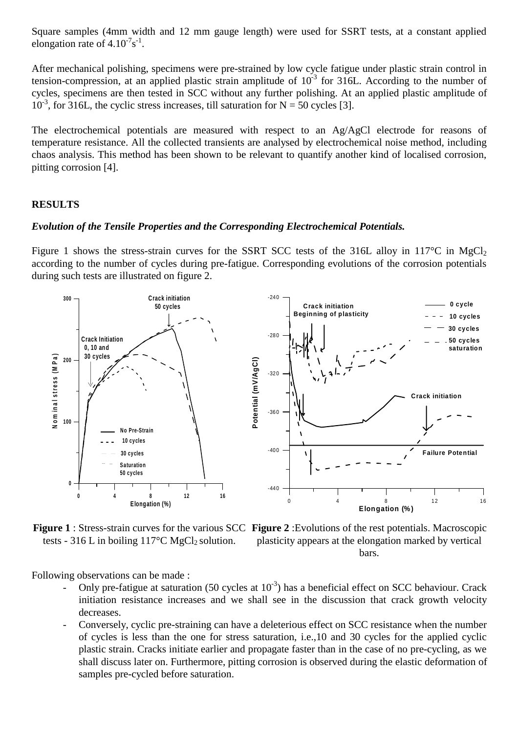Square samples (4mm width and 12 mm gauge length) were used for SSRT tests, at a constant applied elongation rate of  $4.10^{-7}$ s<sup>-1</sup>.

After mechanical polishing, specimens were pre-strained by low cycle fatigue under plastic strain control in tension-compression, at an applied plastic strain amplitude of  $10^{-3}$  for 316L. According to the number of cycles, specimens are then tested in SCC without any further polishing. At an applied plastic amplitude of  $10^{-3}$ , for 316L, the cyclic stress increases, till saturation for N = 50 cycles [3].

The electrochemical potentials are measured with respect to an Ag/AgCl electrode for reasons of temperature resistance. All the collected transients are analysed by electrochemical noise method, including chaos analysis. This method has been shown to be relevant to quantify another kind of localised corrosion, pitting corrosion [4].

#### **RESULTS**

#### *Evolution of the Tensile Properties and the Corresponding Electrochemical Potentials.*

Figure 1 shows the stress-strain curves for the SSRT SCC tests of the 316L alloy in 117 $\degree$ C in MgCl<sub>2</sub> according to the number of cycles during pre-fatigue. Corresponding evolutions of the corrosion potentials during such tests are illustrated on figure 2.



tests - 316 L in boiling  $117^{\circ}$ C MgCl<sub>2</sub> solution.

**Figure 1** : Stress-strain curves for the various SCC **Figure 2** :Evolutions of the rest potentials. Macroscopic plasticity appears at the elongation marked by vertical bars.

Following observations can be made :

- Only pre-fatigue at saturation (50 cycles at  $10^{-3}$ ) has a beneficial effect on SCC behaviour. Crack initiation resistance increases and we shall see in the discussion that crack growth velocity decreases.
- Conversely, cyclic pre-straining can have a deleterious effect on SCC resistance when the number of cycles is less than the one for stress saturation, i.e.,10 and 30 cycles for the applied cyclic plastic strain. Cracks initiate earlier and propagate faster than in the case of no pre-cycling, as we shall discuss later on. Furthermore, pitting corrosion is observed during the elastic deformation of samples pre-cycled before saturation.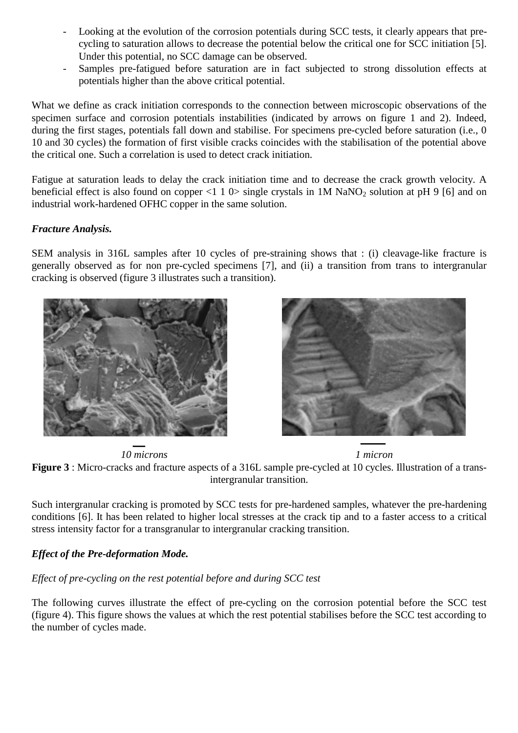- Looking at the evolution of the corrosion potentials during SCC tests, it clearly appears that precycling to saturation allows to decrease the potential below the critical one for SCC initiation [5]. Under this potential, no SCC damage can be observed.
- Samples pre-fatigued before saturation are in fact subjected to strong dissolution effects at potentials higher than the above critical potential.

What we define as crack initiation corresponds to the connection between microscopic observations of the specimen surface and corrosion potentials instabilities (indicated by arrows on figure 1 and 2). Indeed, during the first stages, potentials fall down and stabilise. For specimens pre-cycled before saturation (i.e., 0) 10 and 30 cycles) the formation of first visible cracks coincides with the stabilisation of the potential above the critical one. Such a correlation is used to detect crack initiation.

Fatigue at saturation leads to delay the crack initiation time and to decrease the crack growth velocity. A beneficial effect is also found on copper <1 1 0> single crystals in 1M NaNO<sub>2</sub> solution at pH 9 [6] and on industrial work-hardened OFHC copper in the same solution.

## *Fracture Analysis.*

SEM analysis in 316L samples after 10 cycles of pre-straining shows that : (i) cleavage-like fracture is generally observed as for non pre-cycled specimens [7], and (ii) a transition from trans to intergranular cracking is observed (figure 3 illustrates such a transition).





*10 microns 1 micron*



Such intergranular cracking is promoted by SCC tests for pre-hardened samples, whatever the pre-hardening conditions [6]. It has been related to higher local stresses at the crack tip and to a faster access to a critical stress intensity factor for a transgranular to intergranular cracking transition.

## *Effect of the Pre-deformation Mode.*

## *Effect of pre-cycling on the rest potential before and during SCC test*

The following curves illustrate the effect of pre-cycling on the corrosion potential before the SCC test (figure 4). This figure shows the values at which the rest potential stabilises before the SCC test according to the number of cycles made.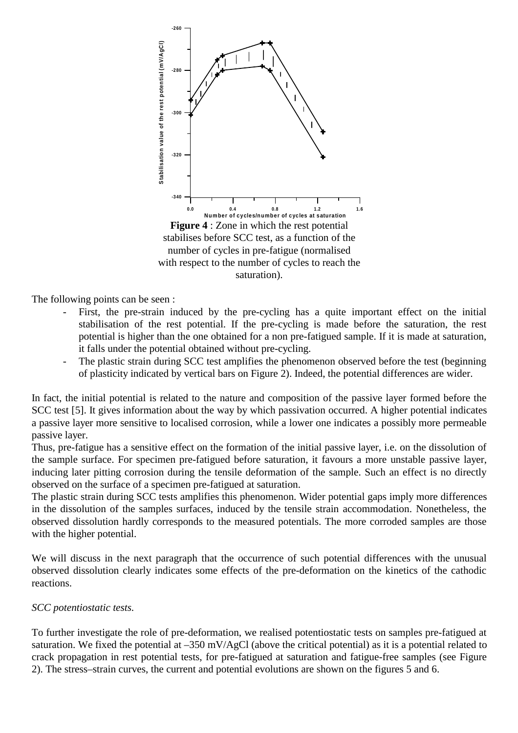

The following points can be seen :

- First, the pre-strain induced by the pre-cycling has a quite important effect on the initial stabilisation of the rest potential. If the pre-cycling is made before the saturation, the rest potential is higher than the one obtained for a non pre-fatigued sample. If it is made at saturation, it falls under the potential obtained without pre-cycling.
- The plastic strain during SCC test amplifies the phenomenon observed before the test (beginning of plasticity indicated by vertical bars on Figure 2). Indeed, the potential differences are wider.

In fact, the initial potential is related to the nature and composition of the passive layer formed before the SCC test [5]. It gives information about the way by which passivation occurred. A higher potential indicates a passive layer more sensitive to localised corrosion, while a lower one indicates a possibly more permeable passive layer.

Thus, pre-fatigue has a sensitive effect on the formation of the initial passive layer, i.e. on the dissolution of the sample surface. For specimen pre-fatigued before saturation, it favours a more unstable passive layer, inducing later pitting corrosion during the tensile deformation of the sample. Such an effect is no directly observed on the surface of a specimen pre-fatigued at saturation.

The plastic strain during SCC tests amplifies this phenomenon. Wider potential gaps imply more differences in the dissolution of the samples surfaces, induced by the tensile strain accommodation. Nonetheless, the observed dissolution hardly corresponds to the measured potentials. The more corroded samples are those with the higher potential.

We will discuss in the next paragraph that the occurrence of such potential differences with the unusual observed dissolution clearly indicates some effects of the pre-deformation on the kinetics of the cathodic reactions.

## *SCC potentiostatic tests.*

To further investigate the role of pre-deformation, we realised potentiostatic tests on samples pre-fatigued at saturation. We fixed the potential at –350 mV/AgCl (above the critical potential) as it is a potential related to crack propagation in rest potential tests, for pre-fatigued at saturation and fatigue-free samples (see Figure 2). The stress–strain curves, the current and potential evolutions are shown on the figures 5 and 6.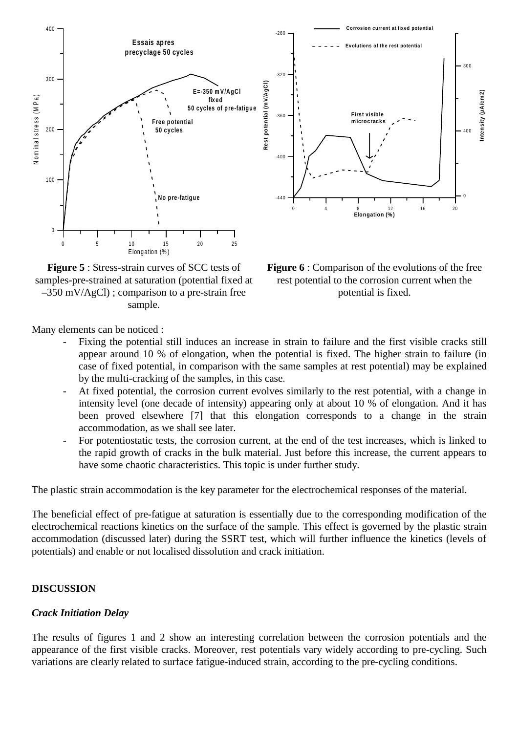



**Figure 5** : Stress-strain curves of SCC tests of samples-pre-strained at saturation (potential fixed at  $-350$  mV/AgCl) ; comparison to a pre-strain free sample.

**Figure 6** : Comparison of the evolutions of the free rest potential to the corrosion current when the potential is fixed.

Many elements can be noticed :

- Fixing the potential still induces an increase in strain to failure and the first visible cracks still appear around 10 % of elongation, when the potential is fixed. The higher strain to failure (in case of fixed potential, in comparison with the same samples at rest potential) may be explained by the multi-cracking of the samples, in this case.
- At fixed potential, the corrosion current evolves similarly to the rest potential, with a change in intensity level (one decade of intensity) appearing only at about 10 % of elongation. And it has been proved elsewhere [7] that this elongation corresponds to a change in the strain accommodation, as we shall see later.
- For potentiostatic tests, the corrosion current, at the end of the test increases, which is linked to the rapid growth of cracks in the bulk material. Just before this increase, the current appears to have some chaotic characteristics. This topic is under further study.

The plastic strain accommodation is the key parameter for the electrochemical responses of the material.

The beneficial effect of pre-fatigue at saturation is essentially due to the corresponding modification of the electrochemical reactions kinetics on the surface of the sample. This effect is governed by the plastic strain accommodation (discussed later) during the SSRT test, which will further influence the kinetics (levels of potentials) and enable or not localised dissolution and crack initiation.

## **DISCUSSION**

## *Crack Initiation Delay*

The results of figures 1 and 2 show an interesting correlation between the corrosion potentials and the appearance of the first visible cracks. Moreover, rest potentials vary widely according to pre-cycling. Such variations are clearly related to surface fatigue-induced strain, according to the pre-cycling conditions.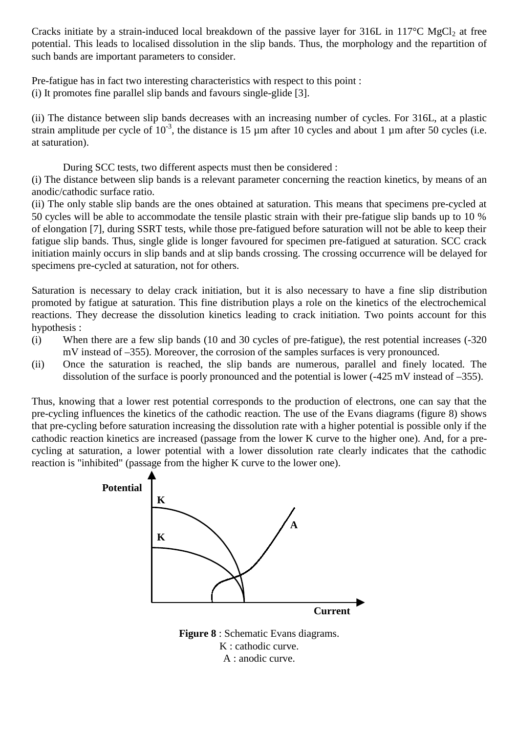Cracks initiate by a strain-induced local breakdown of the passive layer for  $316L$  in  $117^{\circ}C$  MgCl<sub>2</sub> at free potential. This leads to localised dissolution in the slip bands. Thus, the morphology and the repartition of such bands are important parameters to consider.

Pre-fatigue has in fact two interesting characteristics with respect to this point :

(i) It promotes fine parallel slip bands and favours single-glide [3].

(ii) The distance between slip bands decreases with an increasing number of cycles. For 316L, at a plastic strain amplitude per cycle of  $10^{-3}$ , the distance is 15 µm after 10 cycles and about 1 µm after 50 cycles (i.e. at saturation).

During SCC tests, two different aspects must then be considered :

(i) The distance between slip bands is a relevant parameter concerning the reaction kinetics, by means of an anodic/cathodic surface ratio.

(ii) The only stable slip bands are the ones obtained at saturation. This means that specimens pre-cycled at 50 cycles will be able to accommodate the tensile plastic strain with their pre-fatigue slip bands up to 10 % of elongation [7], during SSRT tests, while those pre-fatigued before saturation will not be able to keep their fatigue slip bands. Thus, single glide is longer favoured for specimen pre-fatigued at saturation. SCC crack initiation mainly occurs in slip bands and at slip bands crossing. The crossing occurrence will be delayed for specimens pre-cycled at saturation, not for others.

Saturation is necessary to delay crack initiation, but it is also necessary to have a fine slip distribution promoted by fatigue at saturation. This fine distribution plays a role on the kinetics of the electrochemical reactions. They decrease the dissolution kinetics leading to crack initiation. Two points account for this hypothesis :

- (i) When there are a few slip bands (10 and 30 cycles of pre-fatigue), the rest potential increases (-320 mV instead of –355). Moreover, the corrosion of the samples surfaces is very pronounced.
- (ii) Once the saturation is reached, the slip bands are numerous, parallel and finely located. The dissolution of the surface is poorly pronounced and the potential is lower (-425 mV instead of –355).

Thus, knowing that a lower rest potential corresponds to the production of electrons, one can say that the pre-cycling influences the kinetics of the cathodic reaction. The use of the Evans diagrams (figure 8) shows that pre-cycling before saturation increasing the dissolution rate with a higher potential is possible only if the cathodic reaction kinetics are increased (passage from the lower K curve to the higher one). And, for a precycling at saturation, a lower potential with a lower dissolution rate clearly indicates that the cathodic reaction is "inhibited" (passage from the higher K curve to the lower one).



K : cathodic curve. A : anodic curve.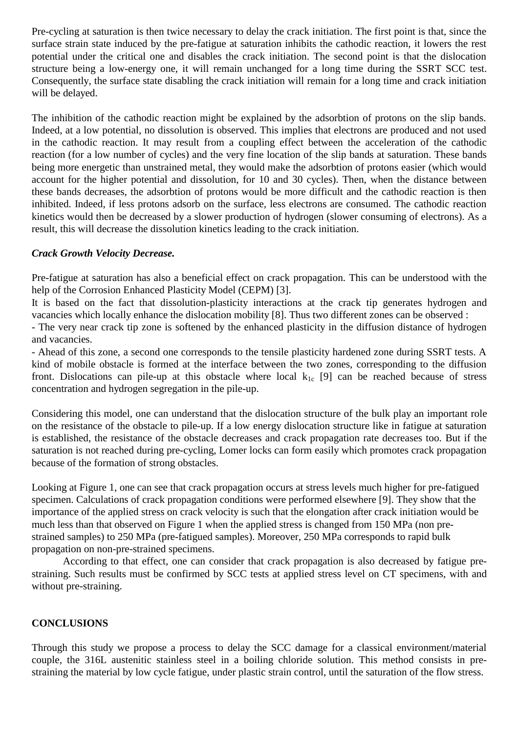Pre-cycling at saturation is then twice necessary to delay the crack initiation. The first point is that, since the surface strain state induced by the pre-fatigue at saturation inhibits the cathodic reaction, it lowers the rest potential under the critical one and disables the crack initiation. The second point is that the dislocation structure being a low-energy one, it will remain unchanged for a long time during the SSRT SCC test. Consequently, the surface state disabling the crack initiation will remain for a long time and crack initiation will be delayed.

The inhibition of the cathodic reaction might be explained by the adsorbtion of protons on the slip bands. Indeed, at a low potential, no dissolution is observed. This implies that electrons are produced and not used in the cathodic reaction. It may result from a coupling effect between the acceleration of the cathodic reaction (for a low number of cycles) and the very fine location of the slip bands at saturation. These bands being more energetic than unstrained metal, they would make the adsorbtion of protons easier (which would account for the higher potential and dissolution, for 10 and 30 cycles). Then, when the distance between these bands decreases, the adsorbtion of protons would be more difficult and the cathodic reaction is then inhibited. Indeed, if less protons adsorb on the surface, less electrons are consumed. The cathodic reaction kinetics would then be decreased by a slower production of hydrogen (slower consuming of electrons). As a result, this will decrease the dissolution kinetics leading to the crack initiation.

#### *Crack Growth Velocity Decrease.*

Pre-fatigue at saturation has also a beneficial effect on crack propagation. This can be understood with the help of the Corrosion Enhanced Plasticity Model (CEPM) [3].

It is based on the fact that dissolution-plasticity interactions at the crack tip generates hydrogen and vacancies which locally enhance the dislocation mobility [8]. Thus two different zones can be observed :

- The very near crack tip zone is softened by the enhanced plasticity in the diffusion distance of hydrogen and vacancies.

- Ahead of this zone, a second one corresponds to the tensile plasticity hardened zone during SSRT tests. A kind of mobile obstacle is formed at the interface between the two zones, corresponding to the diffusion front. Dislocations can pile-up at this obstacle where local  $k_{1c}$  [9] can be reached because of stress concentration and hydrogen segregation in the pile-up.

Considering this model, one can understand that the dislocation structure of the bulk play an important role on the resistance of the obstacle to pile-up. If a low energy dislocation structure like in fatigue at saturation is established, the resistance of the obstacle decreases and crack propagation rate decreases too. But if the saturation is not reached during pre-cycling, Lomer locks can form easily which promotes crack propagation because of the formation of strong obstacles.

Looking at Figure 1, one can see that crack propagation occurs at stress levels much higher for pre-fatigued specimen. Calculations of crack propagation conditions were performed elsewhere [9]. They show that the importance of the applied stress on crack velocity is such that the elongation after crack initiation would be much less than that observed on Figure 1 when the applied stress is changed from 150 MPa (non prestrained samples) to 250 MPa (pre-fatigued samples). Moreover, 250 MPa corresponds to rapid bulk propagation on non-pre-strained specimens.

According to that effect, one can consider that crack propagation is also decreased by fatigue prestraining. Such results must be confirmed by SCC tests at applied stress level on CT specimens, with and without pre-straining.

## **CONCLUSIONS**

Through this study we propose a process to delay the SCC damage for a classical environment/material couple, the 316L austenitic stainless steel in a boiling chloride solution. This method consists in prestraining the material by low cycle fatigue, under plastic strain control, until the saturation of the flow stress.